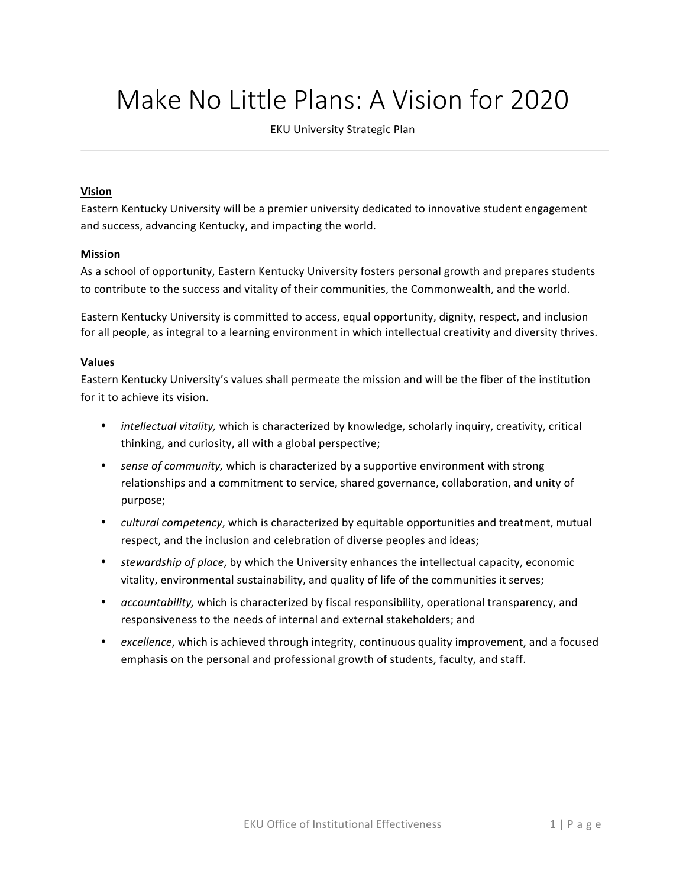# Make No Little Plans: A Vision for 2020

EKU University Strategic Plan

#### **Vision**

Eastern Kentucky University will be a premier university dedicated to innovative student engagement and success, advancing Kentucky, and impacting the world.

#### **Mission**

As a school of opportunity, Eastern Kentucky University fosters personal growth and prepares students to contribute to the success and vitality of their communities, the Commonwealth, and the world.

Eastern Kentucky University is committed to access, equal opportunity, dignity, respect, and inclusion for all people, as integral to a learning environment in which intellectual creativity and diversity thrives.

#### **Values**

Eastern Kentucky University's values shall permeate the mission and will be the fiber of the institution for it to achieve its vision.

- *intellectual vitality,* which is characterized by knowledge, scholarly inquiry, creativity, critical thinking, and curiosity, all with a global perspective;
- *sense of community,* which is characterized by a supportive environment with strong relationships and a commitment to service, shared governance, collaboration, and unity of purpose;
- *cultural competency*, which is characterized by equitable opportunities and treatment, mutual respect, and the inclusion and celebration of diverse peoples and ideas;
- *stewardship of place*, by which the University enhances the intellectual capacity, economic vitality, environmental sustainability, and quality of life of the communities it serves;
- *accountability,* which is characterized by fiscal responsibility, operational transparency, and responsiveness to the needs of internal and external stakeholders; and
- *excellence*, which is achieved through integrity, continuous quality improvement, and a focused emphasis on the personal and professional growth of students, faculty, and staff.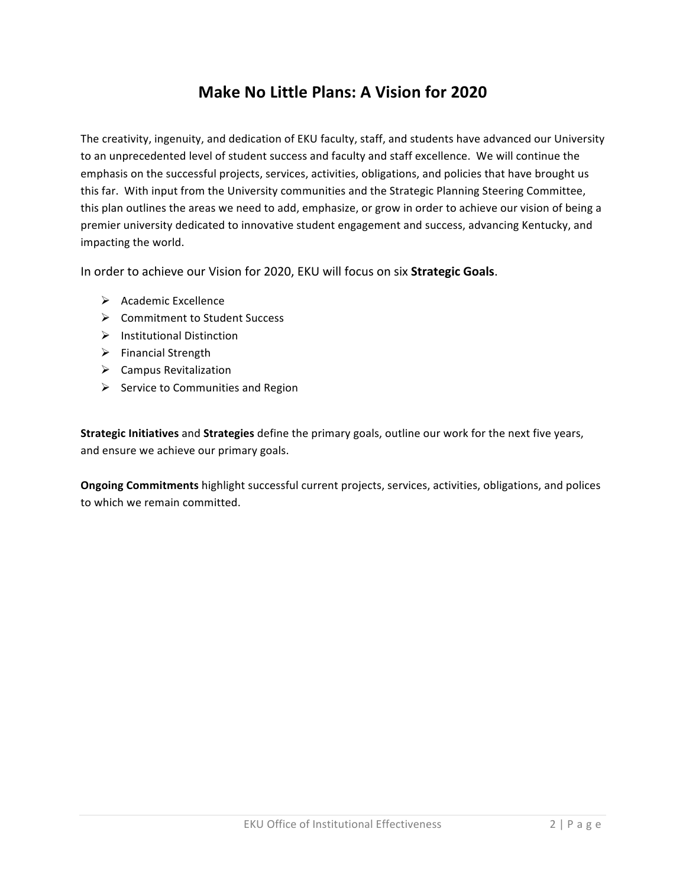## **Make No Little Plans: A Vision for 2020**

The creativity, ingenuity, and dedication of EKU faculty, staff, and students have advanced our University to an unprecedented level of student success and faculty and staff excellence. We will continue the emphasis on the successful projects, services, activities, obligations, and policies that have brought us this far. With input from the University communities and the Strategic Planning Steering Committee, this plan outlines the areas we need to add, emphasize, or grow in order to achieve our vision of being a premier university dedicated to innovative student engagement and success, advancing Kentucky, and impacting the world.

In order to achieve our Vision for 2020, EKU will focus on six **Strategic Goals**.

- $\triangleright$  Academic Excellence
- $\triangleright$  Commitment to Student Success
- $\triangleright$  Institutional Distinction
- $\triangleright$  Financial Strength
- $\triangleright$  Campus Revitalization
- $\triangleright$  Service to Communities and Region

**Strategic Initiatives** and **Strategies** define the primary goals, outline our work for the next five years, and ensure we achieve our primary goals.

**Ongoing Commitments** highlight successful current projects, services, activities, obligations, and polices to which we remain committed.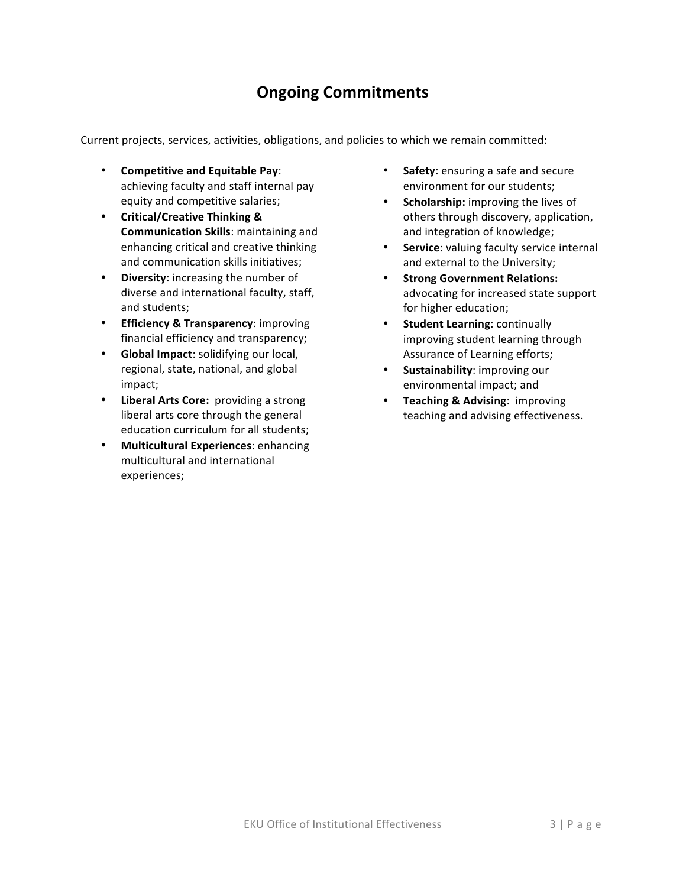# **Ongoing Commitments**

Current projects, services, activities, obligations, and policies to which we remain committed:

- **Competitive and Equitable Pay**: achieving faculty and staff internal pay equity and competitive salaries;
- **Critical/Creative Thinking & Communication Skills: maintaining and** enhancing critical and creative thinking and communication skills initiatives;
- **Diversity:** increasing the number of diverse and international faculty, staff, and students;
- **Efficiency & Transparency**: improving financial efficiency and transparency;
- **Global Impact:** solidifying our local, regional, state, national, and global impact;
- Liberal Arts Core: providing a strong liberal arts core through the general education curriculum for all students;
- **Multicultural Experiences:** enhancing multicultural and international experiences;
- **Safety**: ensuring a safe and secure environment for our students;
- **Scholarship:** improving the lives of others through discovery, application, and integration of knowledge;
- **Service**: valuing faculty service internal and external to the University;
- **Strong Government Relations:** advocating for increased state support for higher education;
- **Student Learning**: continually improving student learning through Assurance of Learning efforts;
- Sustainability: improving our environmental impact; and
- **Teaching & Advising: improving** teaching and advising effectiveness.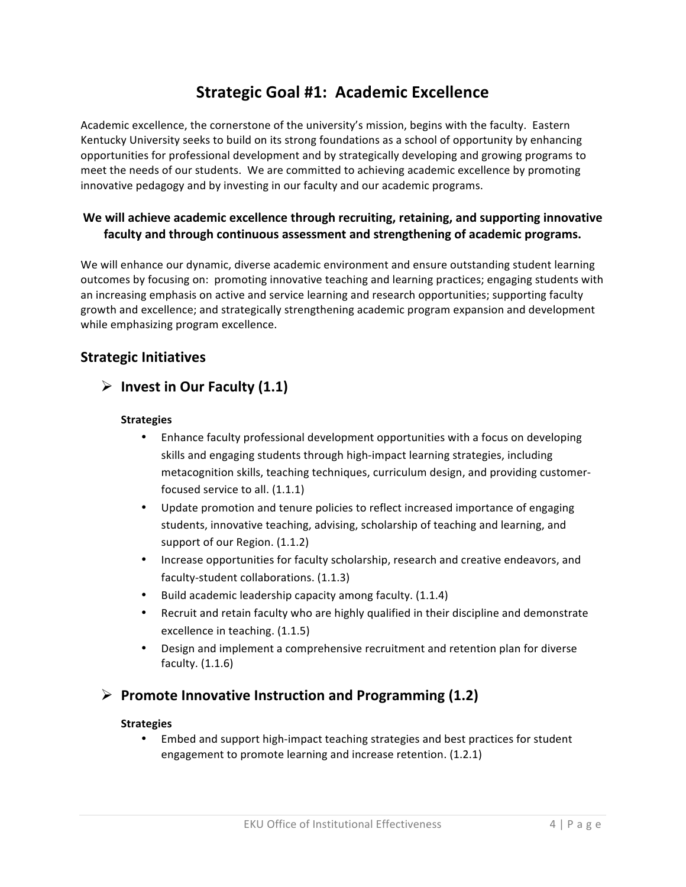# **Strategic Goal #1: Academic Excellence**

Academic excellence, the cornerstone of the university's mission, begins with the faculty. Eastern Kentucky University seeks to build on its strong foundations as a school of opportunity by enhancing opportunities for professional development and by strategically developing and growing programs to meet the needs of our students. We are committed to achieving academic excellence by promoting innovative pedagogy and by investing in our faculty and our academic programs.

### We will achieve academic excellence through recruiting, retaining, and supporting innovative faculty and through continuous assessment and strengthening of academic programs.

We will enhance our dynamic, diverse academic environment and ensure outstanding student learning outcomes by focusing on: promoting innovative teaching and learning practices; engaging students with an increasing emphasis on active and service learning and research opportunities; supporting faculty growth and excellence; and strategically strengthening academic program expansion and development while emphasizing program excellence.

### **Strategic Initiatives**

 $\triangleright$  Invest in Our Faculty (1.1)

#### **Strategies**

- Enhance faculty professional development opportunities with a focus on developing skills and engaging students through high-impact learning strategies, including metacognition skills, teaching techniques, curriculum design, and providing customerfocused service to all.  $(1.1.1)$
- Update promotion and tenure policies to reflect increased importance of engaging students, innovative teaching, advising, scholarship of teaching and learning, and support of our Region. (1.1.2)
- Increase opportunities for faculty scholarship, research and creative endeavors, and faculty-student collaborations. (1.1.3)
- Build academic leadership capacity among faculty. (1.1.4)
- Recruit and retain faculty who are highly qualified in their discipline and demonstrate excellence in teaching. (1.1.5)
- Design and implement a comprehensive recruitment and retention plan for diverse faculty.  $(1.1.6)$

### **Promote Innovative Instruction and Programming (1.2)**

#### **Strategies**

• Embed and support high-impact teaching strategies and best practices for student engagement to promote learning and increase retention. (1.2.1)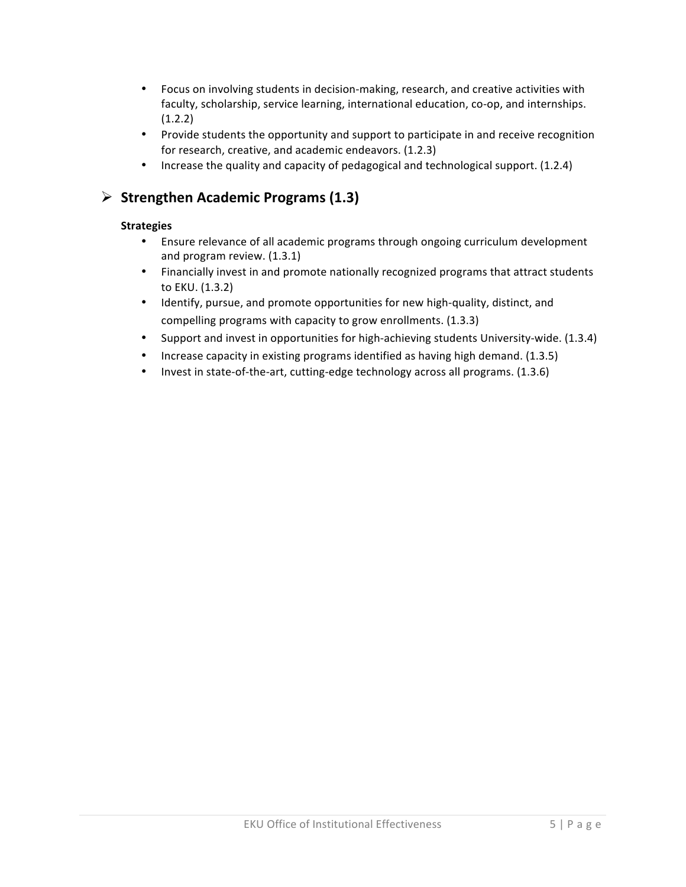- Focus on involving students in decision-making, research, and creative activities with faculty, scholarship, service learning, international education, co-op, and internships.  $(1.2.2)$
- Provide students the opportunity and support to participate in and receive recognition for research, creative, and academic endeavors. (1.2.3)
- Increase the quality and capacity of pedagogical and technological support. (1.2.4)

### ! **Strengthen Academic Programs (1.3)**

- Ensure relevance of all academic programs through ongoing curriculum development and program review. (1.3.1)
- Financially invest in and promote nationally recognized programs that attract students to EKU. (1.3.2)
- Identify, pursue, and promote opportunities for new high-quality, distinct, and compelling programs with capacity to grow enrollments. (1.3.3)
- Support and invest in opportunities for high-achieving students University-wide. (1.3.4)
- Increase capacity in existing programs identified as having high demand. (1.3.5)
- Invest in state-of-the-art, cutting-edge technology across all programs. (1.3.6)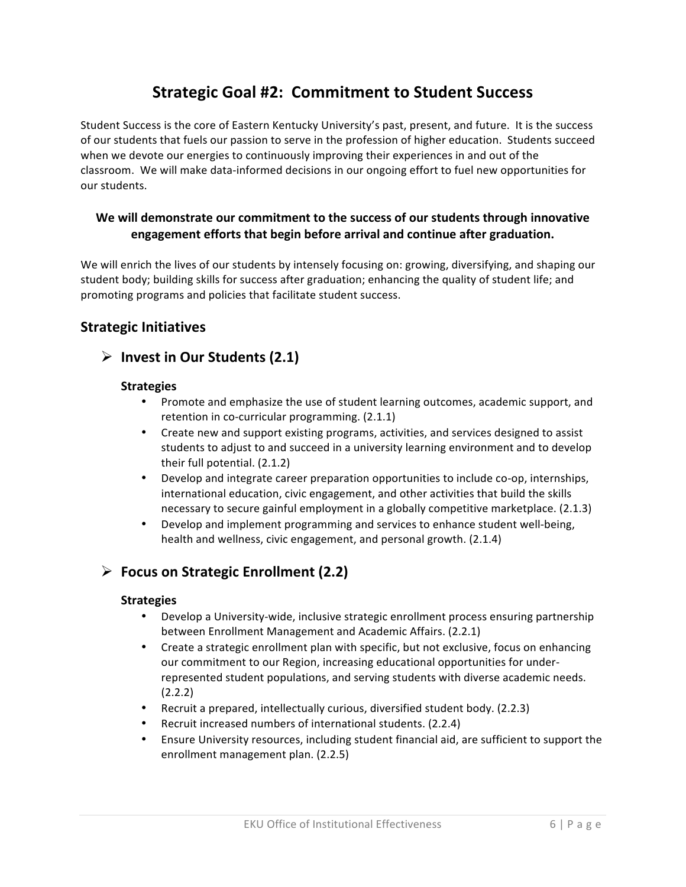# **Strategic Goal #2: Commitment to Student Success**

Student Success is the core of Eastern Kentucky University's past, present, and future. It is the success of our students that fuels our passion to serve in the profession of higher education. Students succeed when we devote our energies to continuously improving their experiences in and out of the classroom. We will make data-informed decisions in our ongoing effort to fuel new opportunities for our students.

### We will demonstrate our commitment to the success of our students through innovative engagement efforts that begin before arrival and continue after graduation.

We will enrich the lives of our students by intensely focusing on: growing, diversifying, and shaping our student body; building skills for success after graduation; enhancing the quality of student life; and promoting programs and policies that facilitate student success.

### **Strategic Initiatives**

### $\triangleright$  Invest in Our Students (2.1)

#### **Strategies**

- Promote and emphasize the use of student learning outcomes, academic support, and retention in co-curricular programming. (2.1.1)
- Create new and support existing programs, activities, and services designed to assist students to adjust to and succeed in a university learning environment and to develop their full potential.  $(2.1.2)$
- Develop and integrate career preparation opportunities to include co-op, internships, international education, civic engagement, and other activities that build the skills necessary to secure gainful employment in a globally competitive marketplace. (2.1.3)
- Develop and implement programming and services to enhance student well-being, health and wellness, civic engagement, and personal growth. (2.1.4)

### **Example 2.2)** Focus on Strategic Enrollment (2.2)

- Develop a University-wide, inclusive strategic enrollment process ensuring partnership between Enrollment Management and Academic Affairs. (2.2.1)
- Create a strategic enrollment plan with specific, but not exclusive, focus on enhancing our commitment to our Region, increasing educational opportunities for underrepresented student populations, and serving students with diverse academic needs. (2.2.2)
- Recruit a prepared, intellectually curious, diversified student body. (2.2.3)
- Recruit increased numbers of international students. (2.2.4)
- Ensure University resources, including student financial aid, are sufficient to support the enrollment management plan. (2.2.5)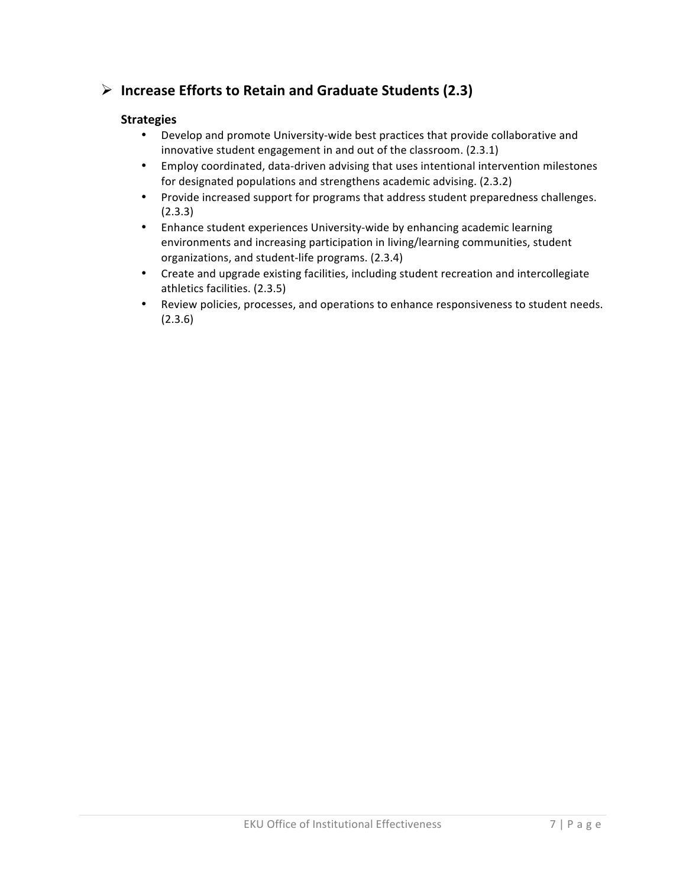### **▶ Increase Efforts to Retain and Graduate Students (2.3)**

- Develop and promote University-wide best practices that provide collaborative and innovative student engagement in and out of the classroom.  $(2.3.1)$
- Employ coordinated, data-driven advising that uses intentional intervention milestones for designated populations and strengthens academic advising. (2.3.2)
- Provide increased support for programs that address student preparedness challenges. (2.3.3)
- Enhance student experiences University-wide by enhancing academic learning environments and increasing participation in living/learning communities, student organizations, and student-life programs. (2.3.4)
- Create and upgrade existing facilities, including student recreation and intercollegiate athletics facilities. (2.3.5)
- Review policies, processes, and operations to enhance responsiveness to student needs. (2.3.6)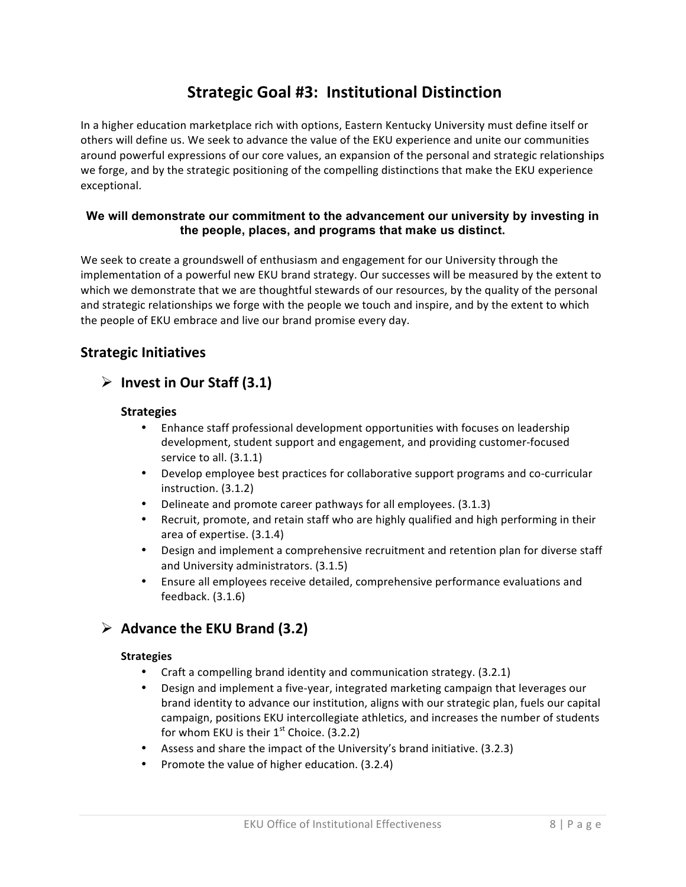# **Strategic Goal #3: Institutional Distinction**

In a higher education marketplace rich with options, Eastern Kentucky University must define itself or others will define us. We seek to advance the value of the EKU experience and unite our communities around powerful expressions of our core values, an expansion of the personal and strategic relationships we forge, and by the strategic positioning of the compelling distinctions that make the EKU experience exceptional. 

#### **We will demonstrate our commitment to the advancement our university by investing in the people, places, and programs that make us distinct.**

We seek to create a groundswell of enthusiasm and engagement for our University through the implementation of a powerful new EKU brand strategy. Our successes will be measured by the extent to which we demonstrate that we are thoughtful stewards of our resources, by the quality of the personal and strategic relationships we forge with the people we touch and inspire, and by the extent to which the people of EKU embrace and live our brand promise every day.

### **Strategic Initiatives**

### $\triangleright$  Invest in Our Staff (3.1)

#### **Strategies**

- Enhance staff professional development opportunities with focuses on leadership development, student support and engagement, and providing customer-focused service to all.  $(3.1.1)$
- Develop employee best practices for collaborative support programs and co-curricular instruction. (3.1.2)
- Delineate and promote career pathways for all employees. (3.1.3)
- Recruit, promote, and retain staff who are highly qualified and high performing in their area of expertise. (3.1.4)
- Design and implement a comprehensive recruitment and retention plan for diverse staff and University administrators. (3.1.5)
- Ensure all employees receive detailed, comprehensive performance evaluations and feedback. (3.1.6)

### ! **Advance the EKU Brand (3.2)**

- Craft a compelling brand identity and communication strategy. (3.2.1)
- Design and implement a five-year, integrated marketing campaign that leverages our brand identity to advance our institution, aligns with our strategic plan, fuels our capital campaign, positions EKU intercollegiate athletics, and increases the number of students for whom EKU is their  $1<sup>st</sup>$  Choice. (3.2.2)
- Assess and share the impact of the University's brand initiative. (3.2.3)
- Promote the value of higher education.  $(3.2.4)$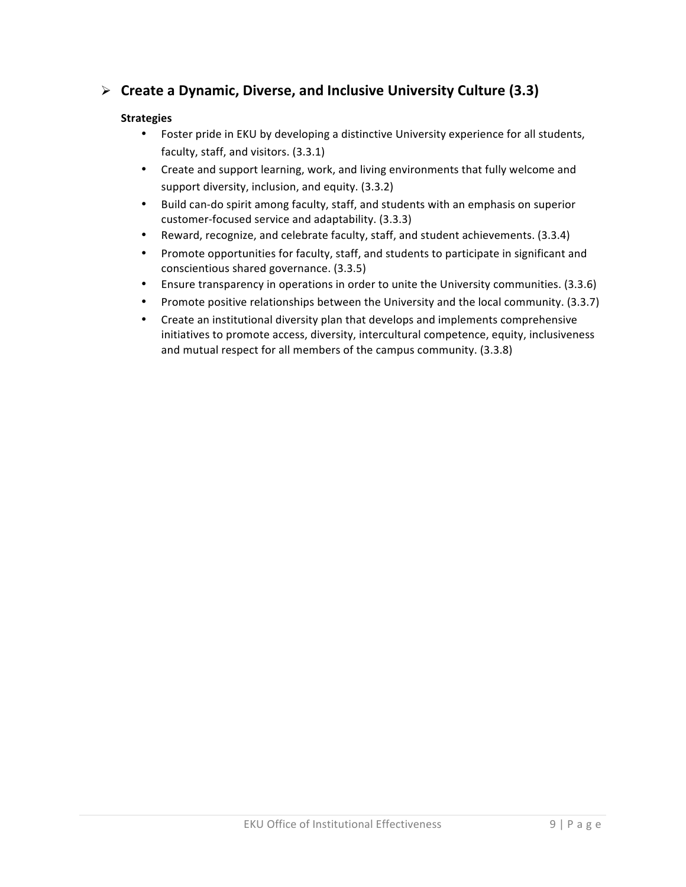### ! **Create a Dynamic, Diverse, and Inclusive University Culture (3.3)**

- Foster pride in EKU by developing a distinctive University experience for all students, faculty, staff, and visitors. (3.3.1)
- Create and support learning, work, and living environments that fully welcome and support diversity, inclusion, and equity.  $(3.3.2)$
- Build can-do spirit among faculty, staff, and students with an emphasis on superior customer-focused service and adaptability. (3.3.3)
- Reward, recognize, and celebrate faculty, staff, and student achievements. (3.3.4)
- Promote opportunities for faculty, staff, and students to participate in significant and conscientious shared governance. (3.3.5)
- Ensure transparency in operations in order to unite the University communities. (3.3.6)
- Promote positive relationships between the University and the local community. (3.3.7)
- Create an institutional diversity plan that develops and implements comprehensive initiatives to promote access, diversity, intercultural competence, equity, inclusiveness and mutual respect for all members of the campus community. (3.3.8)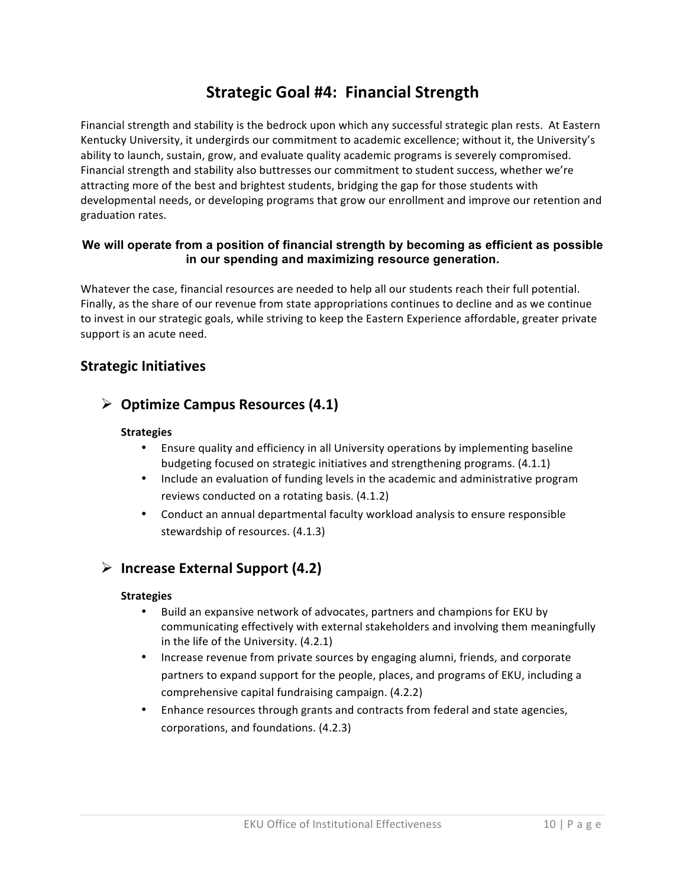# **Strategic Goal #4: Financial Strength**

Financial strength and stability is the bedrock upon which any successful strategic plan rests. At Eastern Kentucky University, it undergirds our commitment to academic excellence; without it, the University's ability to launch, sustain, grow, and evaluate quality academic programs is severely compromised. Financial strength and stability also buttresses our commitment to student success, whether we're attracting more of the best and brightest students, bridging the gap for those students with developmental needs, or developing programs that grow our enrollment and improve our retention and graduation rates.

#### **We will operate from a position of financial strength by becoming as efficient as possible in our spending and maximizing resource generation.**

Whatever the case, financial resources are needed to help all our students reach their full potential. Finally, as the share of our revenue from state appropriations continues to decline and as we continue to invest in our strategic goals, while striving to keep the Eastern Experience affordable, greater private support is an acute need.

### **Strategic Initiatives**

### **▶ Optimize Campus Resources (4.1)**

#### **Strategies**

- Ensure quality and efficiency in all University operations by implementing baseline budgeting focused on strategic initiatives and strengthening programs.  $(4.1.1)$
- Include an evaluation of funding levels in the academic and administrative program reviews conducted on a rotating basis.  $(4.1.2)$
- Conduct an annual departmental faculty workload analysis to ensure responsible stewardship of resources.  $(4.1.3)$

### ! **Increase External Support (4.2)**

- Build an expansive network of advocates, partners and champions for EKU by communicating effectively with external stakeholders and involving them meaningfully in the life of the University.  $(4.2.1)$
- Increase revenue from private sources by engaging alumni, friends, and corporate partners to expand support for the people, places, and programs of EKU, including a comprehensive capital fundraising campaign. (4.2.2)
- Enhance resources through grants and contracts from federal and state agencies, corporations, and foundations. (4.2.3)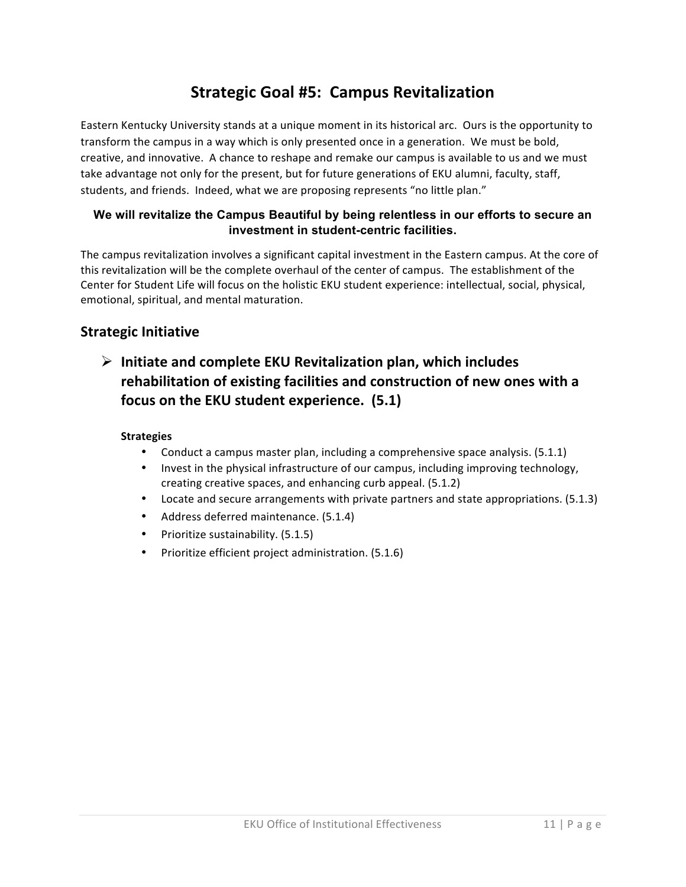# **Strategic Goal #5: Campus Revitalization**

Eastern Kentucky University stands at a unique moment in its historical arc. Ours is the opportunity to transform the campus in a way which is only presented once in a generation. We must be bold, creative, and innovative. A chance to reshape and remake our campus is available to us and we must take advantage not only for the present, but for future generations of EKU alumni, faculty, staff, students, and friends. Indeed, what we are proposing represents "no little plan."

#### **We will revitalize the Campus Beautiful by being relentless in our efforts to secure an investment in student-centric facilities.**

The campus revitalization involves a significant capital investment in the Eastern campus. At the core of this revitalization will be the complete overhaul of the center of campus. The establishment of the Center for Student Life will focus on the holistic EKU student experience: intellectual, social, physical, emotional, spiritual, and mental maturation.

### **Strategic Initiative**

### $\triangleright$  Initiate and complete EKU Revitalization plan, which includes rehabilitation of existing facilities and construction of new ones with a **focus on the EKU student experience.** (5.1)

- Conduct a campus master plan, including a comprehensive space analysis.  $(5.1.1)$
- Invest in the physical infrastructure of our campus, including improving technology, creating creative spaces, and enhancing curb appeal. (5.1.2)
- Locate and secure arrangements with private partners and state appropriations. (5.1.3)
- Address deferred maintenance. (5.1.4)
- Prioritize sustainability. (5.1.5)
- Prioritize efficient project administration. (5.1.6)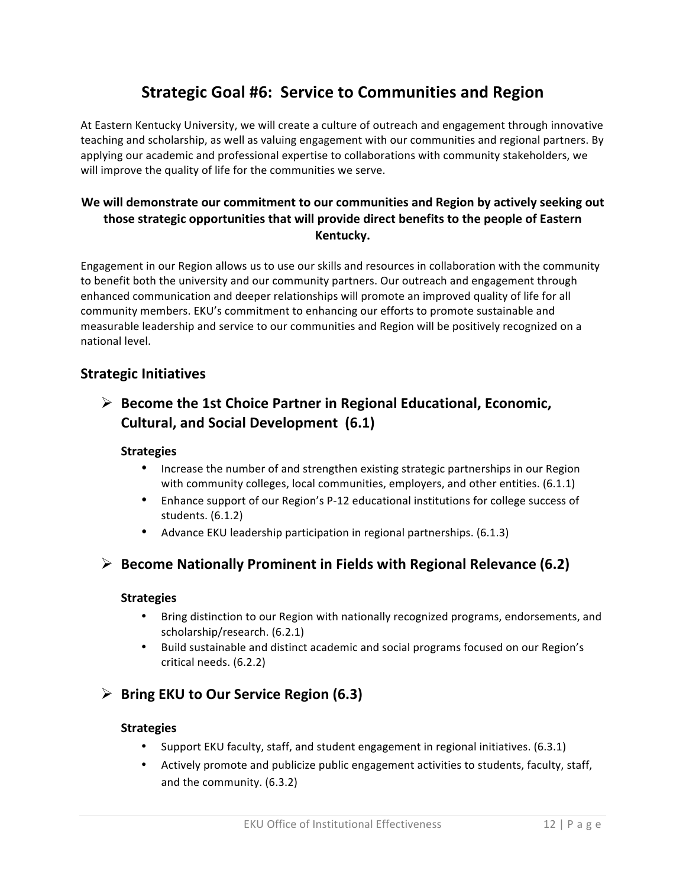# **Strategic Goal #6: Service to Communities and Region**

At Eastern Kentucky University, we will create a culture of outreach and engagement through innovative teaching and scholarship, as well as valuing engagement with our communities and regional partners. By applying our academic and professional expertise to collaborations with community stakeholders, we will improve the quality of life for the communities we serve.

### We will demonstrate our commitment to our communities and Region by actively seeking out **those strategic opportunities that will provide direct benefits to the people of Eastern Kentucky.**

Engagement in our Region allows us to use our skills and resources in collaboration with the community to benefit both the university and our community partners. Our outreach and engagement through enhanced communication and deeper relationships will promote an improved quality of life for all community members. EKU's commitment to enhancing our efforts to promote sustainable and measurable leadership and service to our communities and Region will be positively recognized on a national level.

### **Strategic Initiatives**

### **EXECTE:** Become the 1st Choice Partner in Regional Educational, Economic, **Cultural, and Social Development (6.1)**

#### **Strategies**

- Increase the number of and strengthen existing strategic partnerships in our Region with community colleges, local communities, employers, and other entities.  $(6.1.1)$
- Enhance support of our Region's P-12 educational institutions for college success of students. (6.1.2)
- Advance EKU leadership participation in regional partnerships.  $(6.1.3)$

### **Example 2** Become Nationally Prominent in Fields with Regional Relevance (6.2)

#### **Strategies**

- Bring distinction to our Region with nationally recognized programs, endorsements, and scholarship/research. (6.2.1)
- Build sustainable and distinct academic and social programs focused on our Region's critical needs. (6.2.2)

### **▶ Bring EKU to Our Service Region (6.3)**

- Support EKU faculty, staff, and student engagement in regional initiatives. (6.3.1)
- Actively promote and publicize public engagement activities to students, faculty, staff, and the community. (6.3.2)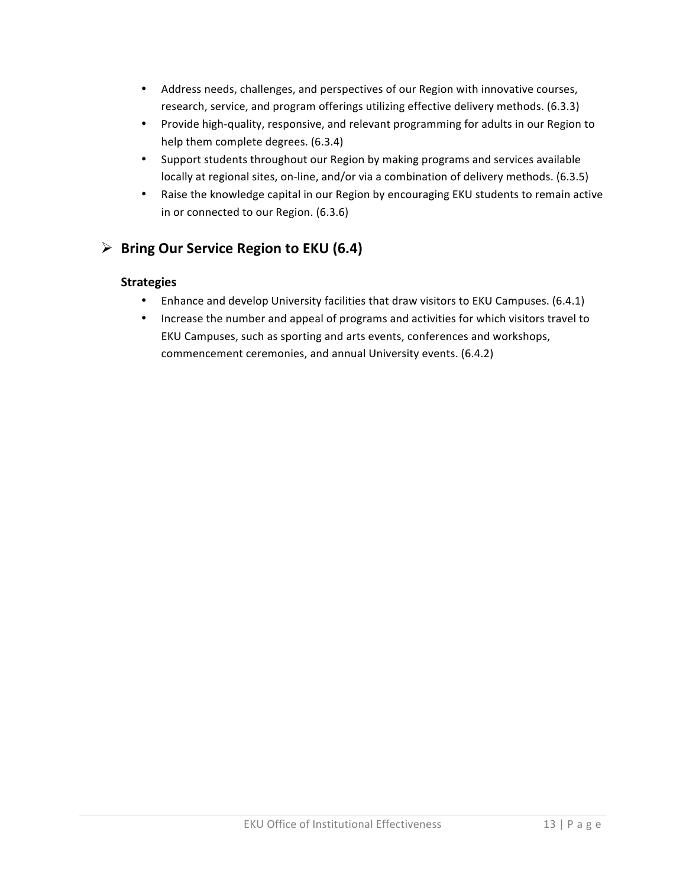- Address needs, challenges, and perspectives of our Region with innovative courses, research, service, and program offerings utilizing effective delivery methods. (6.3.3)
- Provide high-quality, responsive, and relevant programming for adults in our Region to help them complete degrees. (6.3.4)
- Support students throughout our Region by making programs and services available locally at regional sites, on-line, and/or via a combination of delivery methods. (6.3.5)
- Raise the knowledge capital in our Region by encouraging EKU students to remain active in or connected to our Region. (6.3.6)

### **► Bring Our Service Region to EKU (6.4)**

- Enhance and develop University facilities that draw visitors to EKU Campuses. (6.4.1)
- Increase the number and appeal of programs and activities for which visitors travel to EKU Campuses, such as sporting and arts events, conferences and workshops, commencement ceremonies, and annual University events. (6.4.2)